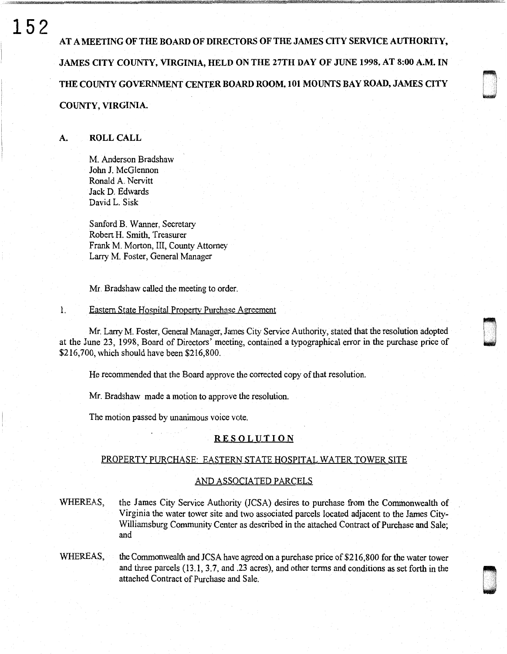# **152**

AT A MEETING OF THE BOARD OF DIRECTORS OF THE JAMES QTY SERVICE AUTHORITY, JAMES CITY COUNTY, VIRGINIA, HELD ON THE 27TH DAY OF JUNE 1998, AT 8:00 A.M. IN THE COUNTY GOVERNMENT CENTER BOARD ROOM, 101 MOUNTS BAY ROAD, JAMES CITY COUNTY, VIRGINIA.

## A. ROLL CALL

M. Anderson Bradshaw John J. McGlennon Ronald A. Nervitt Jack D. Edwards David L. Sisk

Sanford B. Wanner, Secretary Robert H. Smith, Treasurer Frank M. Morton, III, County Attorney Larry M. Foster, General Manager

Mr. Bradshaw called the meeting to order.

#### 1. Eastern State Hospital Propertv Purchase Agreement

Mr. Larry M. Foster, General Manager, James City Service Authority, stated that the resolution adopted at the June 23, 1998, Board of Directors' meeting, contained a typographical error in the purchase price of \$216,700, which should have been \$216,800.

d .<br>D .<br>D .

u .<br>U .<br>U . .

He recommended that the Board approve the corrected copy of that resolution.

Mr. Bradshaw made a motion to approve the resolution.

The motion passed by unanimous voice vote.

### RESOLUTION

## PROPERTY PURCHASE: EASTERN STATE HOSPITAL WATER TOWER SITE

#### AND ASSOCIATED PARCELS

WHEREAS, the James City Service Authority (JCSA) desires to purchase from the Commonwealth of Virginia the water tower site and two associated parcels located adjacent to the James City-Williamsburg Community Center as described in the attached Contract of Purchase and Sale; and

WHEREAS, the Commonwealth and JCSA have agreed on a purchase price of  $$216,800$  for the water tower and three parcels (13.1, 3.7, and .23 acres), and other terms and conditions as set forth in the attached Contract of Purchase and Sale.